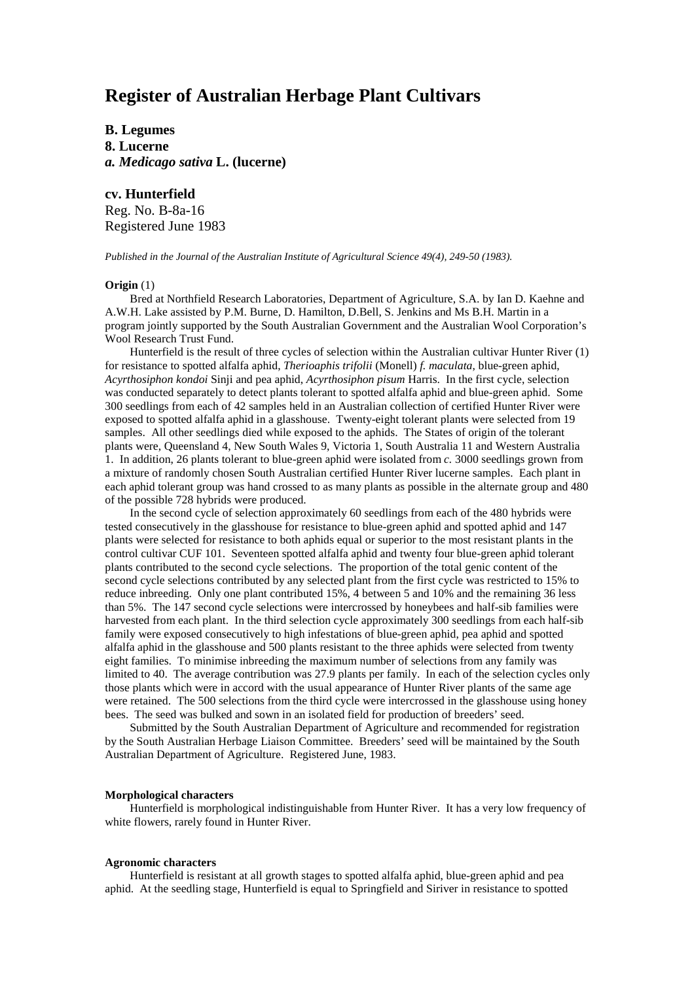# **Register of Australian Herbage Plant Cultivars**

**B. Legumes 8. Lucerne** *a. Medicago sativa* **L. (lucerne)**

# **cv. Hunterfield**

Reg. No. B-8a-16 Registered June 1983

*Published in the Journal of the Australian Institute of Agricultural Science 49(4), 249-50 (1983).*

## **Origin** (1)

Bred at Northfield Research Laboratories, Department of Agriculture, S.A. by Ian D. Kaehne and A.W.H. Lake assisted by P.M. Burne, D. Hamilton, D.Bell, S. Jenkins and Ms B.H. Martin in a program jointly supported by the South Australian Government and the Australian Wool Corporation's Wool Research Trust Fund.

Hunterfield is the result of three cycles of selection within the Australian cultivar Hunter River (1) for resistance to spotted alfalfa aphid, *Therioaphis trifolii* (Monell) *f. maculata*, blue-green aphid, *Acyrthosiphon kondoi* Sinji and pea aphid, *Acyrthosiphon pisum* Harris. In the first cycle, selection was conducted separately to detect plants tolerant to spotted alfalfa aphid and blue-green aphid. Some 300 seedlings from each of 42 samples held in an Australian collection of certified Hunter River were exposed to spotted alfalfa aphid in a glasshouse. Twenty-eight tolerant plants were selected from 19 samples. All other seedlings died while exposed to the aphids. The States of origin of the tolerant plants were, Queensland 4, New South Wales 9, Victoria 1, South Australia 11 and Western Australia 1. In addition, 26 plants tolerant to blue-green aphid were isolated from *c.* 3000 seedlings grown from a mixture of randomly chosen South Australian certified Hunter River lucerne samples. Each plant in each aphid tolerant group was hand crossed to as many plants as possible in the alternate group and 480 of the possible 728 hybrids were produced.

In the second cycle of selection approximately 60 seedlings from each of the 480 hybrids were tested consecutively in the glasshouse for resistance to blue-green aphid and spotted aphid and 147 plants were selected for resistance to both aphids equal or superior to the most resistant plants in the control cultivar CUF 101. Seventeen spotted alfalfa aphid and twenty four blue-green aphid tolerant plants contributed to the second cycle selections. The proportion of the total genic content of the second cycle selections contributed by any selected plant from the first cycle was restricted to 15% to reduce inbreeding. Only one plant contributed 15%, 4 between 5 and 10% and the remaining 36 less than 5%. The 147 second cycle selections were intercrossed by honeybees and half-sib families were harvested from each plant. In the third selection cycle approximately 300 seedlings from each half-sib family were exposed consecutively to high infestations of blue-green aphid, pea aphid and spotted alfalfa aphid in the glasshouse and 500 plants resistant to the three aphids were selected from twenty eight families. To minimise inbreeding the maximum number of selections from any family was limited to 40. The average contribution was 27.9 plants per family. In each of the selection cycles only those plants which were in accord with the usual appearance of Hunter River plants of the same age were retained. The 500 selections from the third cycle were intercrossed in the glasshouse using honey bees. The seed was bulked and sown in an isolated field for production of breeders' seed.

Submitted by the South Australian Department of Agriculture and recommended for registration by the South Australian Herbage Liaison Committee. Breeders' seed will be maintained by the South Australian Department of Agriculture. Registered June, 1983.

# **Morphological characters**

Hunterfield is morphological indistinguishable from Hunter River. It has a very low frequency of white flowers, rarely found in Hunter River.

## **Agronomic characters**

Hunterfield is resistant at all growth stages to spotted alfalfa aphid, blue-green aphid and pea aphid. At the seedling stage, Hunterfield is equal to Springfield and Siriver in resistance to spotted